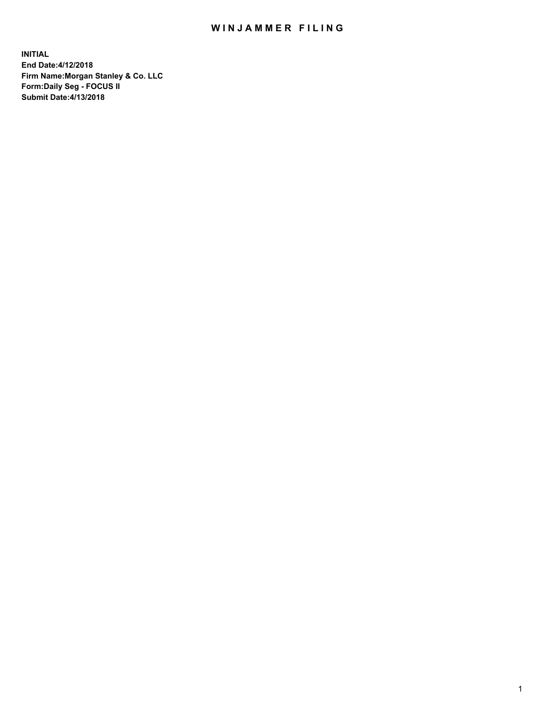## WIN JAMMER FILING

**INITIAL End Date:4/12/2018 Firm Name:Morgan Stanley & Co. LLC Form:Daily Seg - FOCUS II Submit Date:4/13/2018**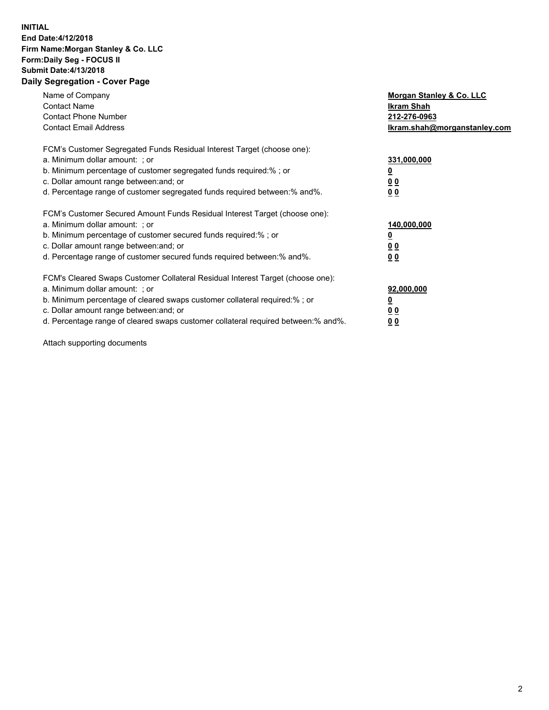## **INITIAL End Date:4/12/2018 Firm Name:Morgan Stanley & Co. LLC Form:Daily Seg - FOCUS II Submit Date:4/13/2018 Daily Segregation - Cover Page**

| Name of Company<br><b>Contact Name</b><br><b>Contact Phone Number</b><br><b>Contact Email Address</b>                                                                                                                                                                                                                          | Morgan Stanley & Co. LLC<br>Ikram Shah<br>212-276-0963<br>lkram.shah@morganstanley.com |
|--------------------------------------------------------------------------------------------------------------------------------------------------------------------------------------------------------------------------------------------------------------------------------------------------------------------------------|----------------------------------------------------------------------------------------|
| FCM's Customer Segregated Funds Residual Interest Target (choose one):<br>a. Minimum dollar amount: ; or<br>b. Minimum percentage of customer segregated funds required:%; or<br>c. Dollar amount range between: and; or<br>d. Percentage range of customer segregated funds required between: % and %.                        | 331,000,000<br>0 <sub>0</sub><br>00                                                    |
| FCM's Customer Secured Amount Funds Residual Interest Target (choose one):<br>a. Minimum dollar amount: ; or<br>b. Minimum percentage of customer secured funds required:%; or<br>c. Dollar amount range between: and; or<br>d. Percentage range of customer secured funds required between:% and%.                            | 140,000,000<br>0 <sub>0</sub><br>0 <sub>0</sub>                                        |
| FCM's Cleared Swaps Customer Collateral Residual Interest Target (choose one):<br>a. Minimum dollar amount: ; or<br>b. Minimum percentage of cleared swaps customer collateral required:% ; or<br>c. Dollar amount range between: and; or<br>d. Percentage range of cleared swaps customer collateral required between:% and%. | 92,000,000<br>0 <sub>0</sub><br>0 <sub>0</sub>                                         |

Attach supporting documents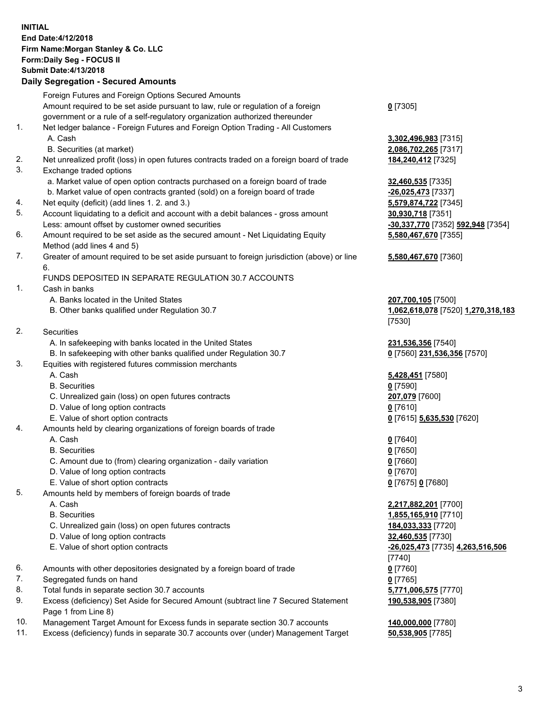## **INITIAL End Date:4/12/2018 Firm Name:Morgan Stanley & Co. LLC Form:Daily Seg - FOCUS II Submit Date:4/13/2018 Daily Segregation - Secured Amounts**

Foreign Futures and Foreign Options Secured Amounts Amount required to be set aside pursuant to law, rule or regulation of a foreign government or a rule of a self-regulatory organization authorized thereunder 1. Net ledger balance - Foreign Futures and Foreign Option Trading - All Customers A. Cash **3,302,496,983** [7315] B. Securities (at market) **2,086,702,265** [7317] 2. Net unrealized profit (loss) in open futures contracts traded on a foreign board of trade **184,240,412** [7325] 3. Exchange traded options a. Market value of open option contracts purchased on a foreign board of trade **32,460,535** [7335] b. Market value of open contracts granted (sold) on a foreign board of trade **-26,025,473** [7337] 4. Net equity (deficit) (add lines 1. 2. and 3.) **5,579,874,722** [7345] 5. Account liquidating to a deficit and account with a debit balances - gross amount **30,930,718** [7351] Less: amount offset by customer owned securities **-30,337,770** [7352] **592,948** [7354] 6. Amount required to be set aside as the secured amount - Net Liquidating Equity Method (add lines 4 and 5) 7. Greater of amount required to be set aside pursuant to foreign jurisdiction (above) or line 6. FUNDS DEPOSITED IN SEPARATE REGULATION 30.7 ACCOUNTS 1. Cash in banks A. Banks located in the United States **207,700,105** [7500] B. Other banks qualified under Regulation 30.7 **1,062,618,078** [7520] **1,270,318,183** 2. Securities A. In safekeeping with banks located in the United States **231,536,356** [7540] B. In safekeeping with other banks qualified under Regulation 30.7 **0** [7560] **231,536,356** [7570] 3. Equities with registered futures commission merchants A. Cash **5,428,451** [7580] B. Securities **0** [7590] C. Unrealized gain (loss) on open futures contracts **207,079** [7600] D. Value of long option contracts **0** [7610] E. Value of short option contracts **0** [7615] **5,635,530** [7620] 4. Amounts held by clearing organizations of foreign boards of trade A. Cash **0** [7640] B. Securities **0** [7650] C. Amount due to (from) clearing organization - daily variation **0** [7660] D. Value of long option contracts **0** [7670] E. Value of short option contracts **0** [7675] **0** [7680] 5. Amounts held by members of foreign boards of trade A. Cash **2,217,882,201** [7700] B. Securities **1,855,165,910** [7710] C. Unrealized gain (loss) on open futures contracts **184,033,333** [7720] D. Value of long option contracts **32,460,535** [7730] E. Value of short option contracts **-26,025,473** [7735] **4,263,516,506** 6. Amounts with other depositories designated by a foreign board of trade **0** [7760] 7. Segregated funds on hand **0** [7765] 8. Total funds in separate section 30.7 accounts **5,771,006,575** [7770] 9. Excess (deficiency) Set Aside for Secured Amount (subtract line 7 Secured Statement Page 1 from Line 8)

- 10. Management Target Amount for Excess funds in separate section 30.7 accounts **140,000,000** [7780]
- 11. Excess (deficiency) funds in separate 30.7 accounts over (under) Management Target **50,538,905** [7785]

**0** [7305]

**5,580,467,670** [7355]

## **5,580,467,670** [7360]

[7530]

[7740] **190,538,905** [7380]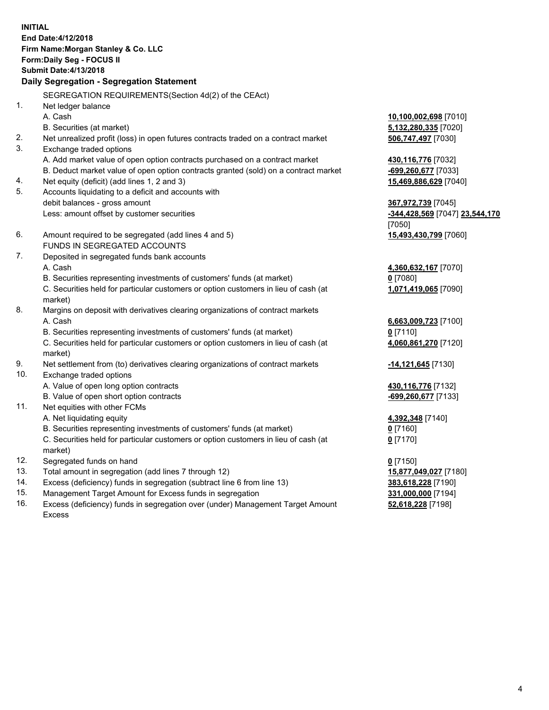**INITIAL End Date:4/12/2018 Firm Name:Morgan Stanley & Co. LLC Form:Daily Seg - FOCUS II Submit Date:4/13/2018 Daily Segregation - Segregation Statement** SEGREGATION REQUIREMENTS(Section 4d(2) of the CEAct) 1. Net ledger balance A. Cash **10,100,002,698** [7010] B. Securities (at market) **5,132,280,335** [7020] 2. Net unrealized profit (loss) in open futures contracts traded on a contract market **506,747,497** [7030] 3. Exchange traded options A. Add market value of open option contracts purchased on a contract market **430,116,776** [7032] B. Deduct market value of open option contracts granted (sold) on a contract market **-699,260,677** [7033] 4. Net equity (deficit) (add lines 1, 2 and 3) **15,469,886,629** [7040] 5. Accounts liquidating to a deficit and accounts with debit balances - gross amount **367,972,739** [7045] Less: amount offset by customer securities **-344,428,569** [7047] **23,544,170** [7050] 6. Amount required to be segregated (add lines 4 and 5) **15,493,430,799** [7060] FUNDS IN SEGREGATED ACCOUNTS 7. Deposited in segregated funds bank accounts A. Cash **4,360,632,167** [7070] B. Securities representing investments of customers' funds (at market) **0** [7080] C. Securities held for particular customers or option customers in lieu of cash (at market) **1,071,419,065** [7090] 8. Margins on deposit with derivatives clearing organizations of contract markets A. Cash **6,663,009,723** [7100] B. Securities representing investments of customers' funds (at market) **0** [7110] C. Securities held for particular customers or option customers in lieu of cash (at market) **4,060,861,270** [7120] 9. Net settlement from (to) derivatives clearing organizations of contract markets **-14,121,645** [7130] 10. Exchange traded options A. Value of open long option contracts **430,116,776** [7132] B. Value of open short option contracts **-699,260,677** [7133] 11. Net equities with other FCMs A. Net liquidating equity **4,392,348** [7140] B. Securities representing investments of customers' funds (at market) **0** [7160] C. Securities held for particular customers or option customers in lieu of cash (at market) **0** [7170] 12. Segregated funds on hand **0** [7150] 13. Total amount in segregation (add lines 7 through 12) **15,877,049,027** [7180] 14. Excess (deficiency) funds in segregation (subtract line 6 from line 13) **383,618,228** [7190]

- 15. Management Target Amount for Excess funds in segregation **331,000,000** [7194]
- 16. Excess (deficiency) funds in segregation over (under) Management Target Amount Excess

**52,618,228** [7198]